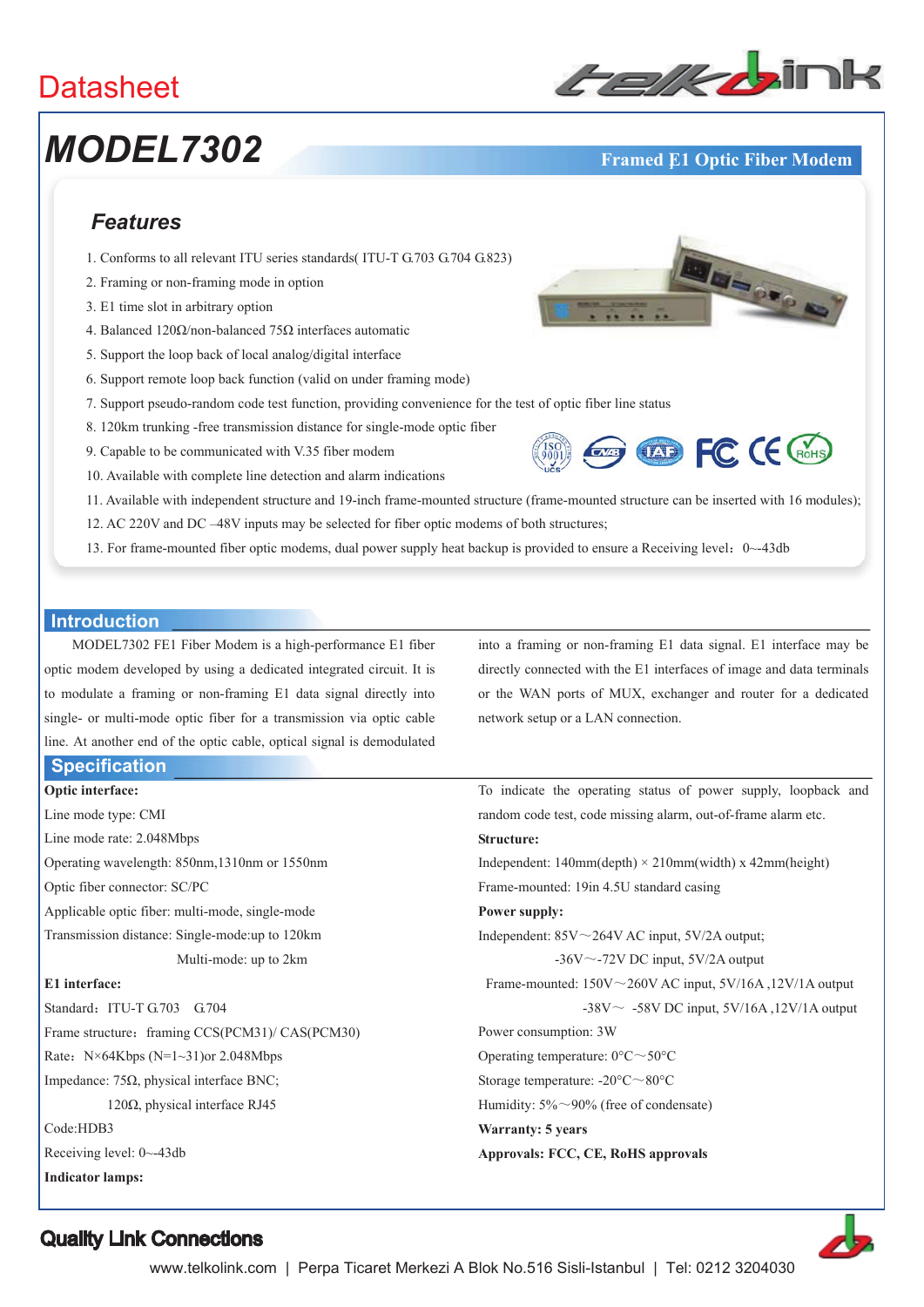### **Datasheet**

# **MODEL7302 Framed E1 Optic Fiber Modem**



Masoro C

### *Features*

- 1. Conforms to all relevant ITU series standards( ITU-T G.703 G.704 G.823)
- 2. Framing or non-framing mode in option
- 3. E1 time slot in arbitrary option
- 4. Balanced 120 $\Omega$ /non-balanced 75 $\Omega$  interfaces automatic
- 5. Support the loop back of local analog/digital interface
- 6. Support remote loop back function (valid on under framing mode)
- 7. Support pseudo-random code test function, providing convenience for the test of optic fiber line status
- 8. 120km trunking -free transmission distance for single-mode optic fiber
- 9. Capable to be communicated with V.35 fiber modem
- 10. Available with complete line detection and alarm indications
- **Example FC (E GroHS)**
- 11. Available with independent structure and 19-inch frame-mounted structure (frame-mounted structure can be inserted with 16 modules); 12. AC 220V and DC –48V inputs may be selected for fiber optic modems of both structures;
- 13. For frame-mounted fiber optic modems, dual power supply heat backup is provided to ensure a Receiving level:  $0 \sim 43$ db

#### **Introduction**

MODEL7302 FE1 Fiber Modem is a high-performance E1 fiber optic modem developed by using a dedicated integrated circuit. It is to modulate a framing or non-framing E1 data signal directly into single- or multi-mode optic fiber for a transmission via optic cable line. At another end of the optic cable, optical signal is demodulated

#### **Specification**

**Optic interface:** 

Line mode type: CMI Line mode rate: 2.048Mbps Operating wavelength: 850nm,1310nm or 1550nm Optic fiber connector: SC/PC Applicable optic fiber: multi-mode, single-mode Transmission distance: Single-mode:up to 120km Multi-mode: up to 2km **E1 interface:**  Standard: ITU-T G.703 G.704 Frame structure: framing CCS(PCM31)/ CAS(PCM30) Rate:  $N\times 64Kbps (N=1~31)$ or 2.048Mbps Impedance:  $75\Omega$ , physical interface BNC; 120 $\Omega$ , physical interface RJ45 Code:HDB3 Receiving level: 0~-43db **Indicator lamps:** 

into a framing or non-framing E1 data signal. E1 interface may be directly connected with the E1 interfaces of image and data terminals or the WAN ports of MUX, exchanger and router for a dedicated network setup or a LAN connection.

To indicate the operating status of power supply, loopback and random code test, code missing alarm, out-of-frame alarm etc. **Structure:**  Independent:  $140$ mm(depth)  $\times$  210mm(width) x 42mm(height) Frame-mounted: 19in 4.5U standard casing **Power supply:**  Independent:  $85V \sim 264V$  AC input,  $5V/2A$  output; -36V $\sim$ -72V DC input, 5V/2A output Frame-mounted:  $150V \sim 260V$  AC input,  $5V/16A$ ,  $12V/1A$  output -38V $\sim$  -58V DC input, 5V/16A, 12V/1A output Power consumption: 3W Operating temperature:  $0^{\circ}$ C $\sim$ 50°C Storage temperature:  $-20^{\circ}$ C $\sim$ 80°C Humidity:  $5\% \sim 90\%$  (free of condensate) **Warranty: 5 years Approvals: FCC, CE, RoHS approvals** 



Quality Link Connections